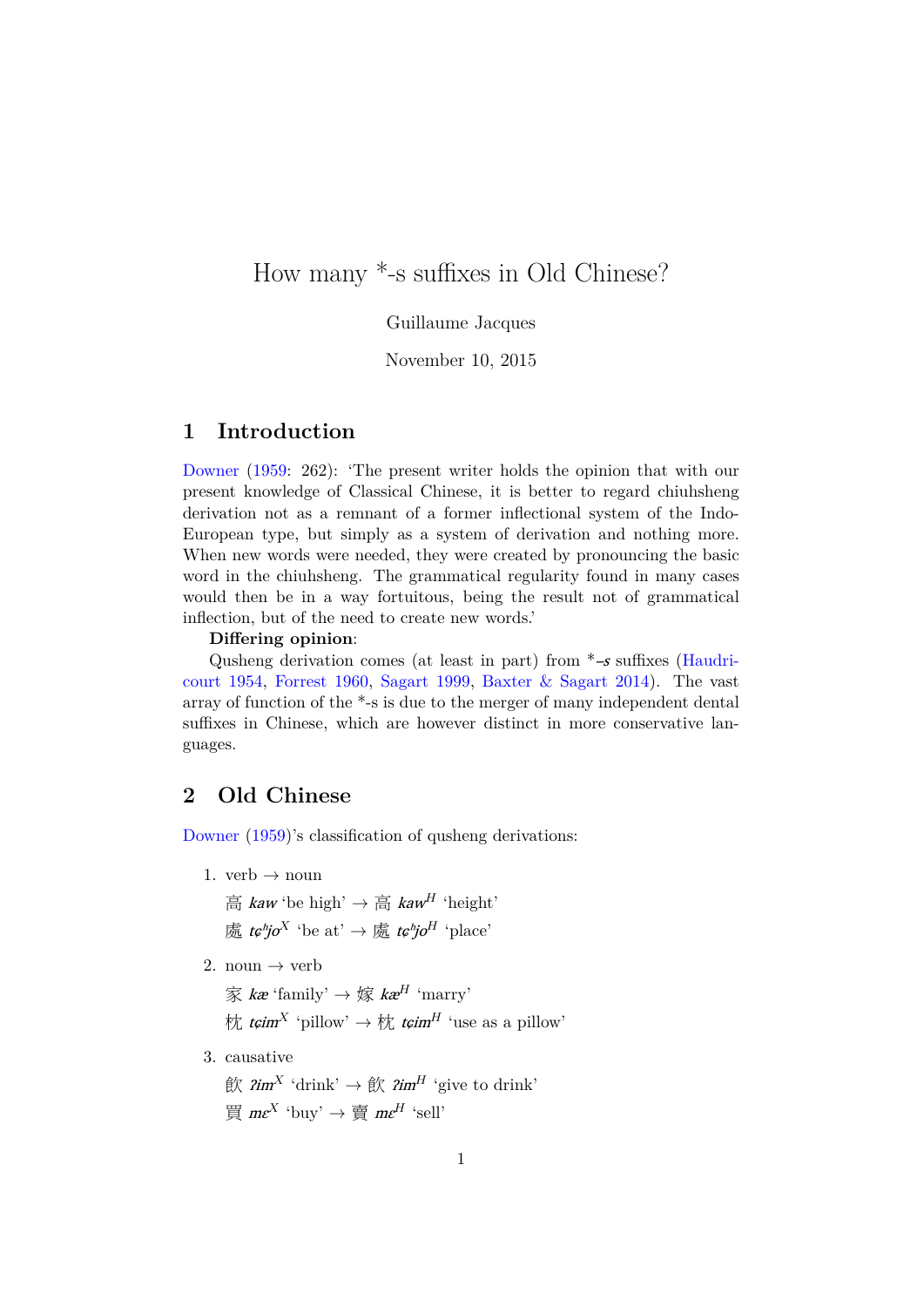# How many \*-s suffixes in Old Chinese?

Guillaume Jacques

November 10, 2015

# **1 Introduction**

Downer (1959: 262): 'The present writer holds the opinion that with our present knowledge of Classical Chinese, it is better to regard chiuhsheng derivation not as a remnant of a former inflectional system of the Indo-European type, but simply as a system of derivation and nothing more. [When n](#page-4-0)e[w wo](#page-4-0)rds were needed, they were created by pronouncing the basic word in the chiuhsheng. The grammatical regularity found in many cases would then be in a way fortuitous, being the result not of grammatical inflection, but of the need to create new words.'

#### **Differing opinion**:

Qusheng derivation comes (at least in part) from  $*$ -s suffixes (Haudricourt 1954, Forrest 1960, Sagart 1999, Baxter & Sagart 2014). The vast array of function of the \*-s is due to the merger of many independent dental suffixes in Chinese, which are however distinct in more conservat[ive lan](#page-4-1)[guages.](#page-4-1)

## **2 Old Chinese**

Downer (1959)'s classification of qusheng derivations:

1. verb  $\rightarrow$  noun

[高](#page-4-0) [kaw](#page-4-0) 'be high' *→* 高 kaw *<sup>H</sup>* 'height' 處 tɕʰjo *<sup>X</sup>* 'be at' *<sup>→</sup>* <sup>處</sup> tɕʰjo *<sup>H</sup>* 'place'

2. noun  $\rightarrow$  verb

家 kæ 'family' *→* 嫁 kæ *<sup>H</sup>* 'marry'

- 枕  $t$ *çim*<sup>*X*</sup> 'pillow' → 枕  $t$ *çim*<sup>*H*</sup> 'use as a pillow'
- 3. causative
	- **飲**  $\lim^X$  'drink' → 飲  $\lim^H$  'give to drink' 買 mɛ *<sup>X</sup>* 'buy' *<sup>→</sup>* <sup>賣</sup> mɛ *<sup>H</sup>* 'sell'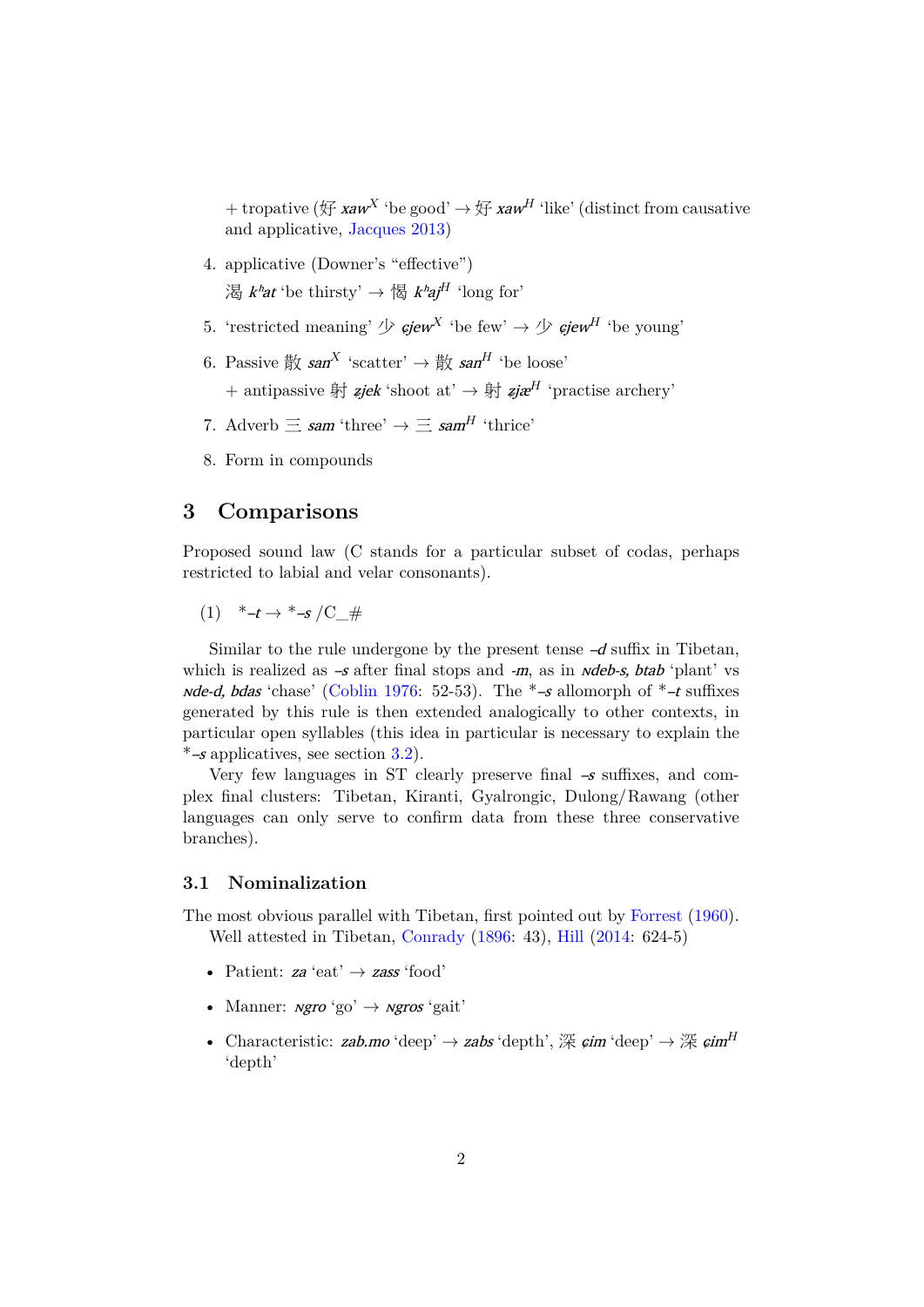+ tropative (好 xaw *<sup>X</sup>* 'be good' *<sup>→</sup>* <sup>好</sup> xaw *<sup>H</sup>* 'like' (distinct from causative and applicative, Jacques 2013)

- 4. applicative (Downer's "effective") 渴 kʰat 'be thirsty' *[→](#page-5-0)* 愒 [k](#page-5-0)ʰ[aj](#page-5-0) *<sup>H</sup>* 'long for'
- 5. 'restricted meaning'  $\mathcal{P}$  *cjew*<sup>X</sup> 'be few'  $\rightarrow \mathcal{P}$  *cjew*<sup>H</sup> 'be young'
- 6. Passive 散 san<sup>X</sup> 'scatter' → 散 san<sup>H</sup> 'be loose'
	- + antipassive 射 ʑjek 'shoot at' *→* 射 ʑjæ *<sup>H</sup>* 'practise archery'
- 7. Adverb  $\equiv$  *sam* 'three'  $\rightarrow \equiv$  *sam<sup>H</sup>* 'thrice'
- 8. Form in compounds

# **3 Comparisons**

Proposed sound law (C stands for a particular subset of codas, perhaps restricted to labial and velar consonants).

 $(1)$  \*–t  $\rightarrow$  \*–s /C #

<span id="page-1-0"></span>Similar to the rule undergone by the present tense  $-d$  suffix in Tibetan, which is realized as  $-s$  after final stops and  $-m$ , as in *ndeb-s, btab* 'plant' vs *nde-d, bdas* 'chase' (Coblin 1976: 52-53). The  $*-s$  allomorph of  $*-t$  suffixes generated by this rule is then extended analogically to other contexts, in particular open syllables (this idea in particular is necessary to explain the  $*$ –s applicatives, see section 3.2).

Very few langu[ages in ST c](#page-4-2)learly preserve final  $-s$  suffixes, and complex final clusters: Tibetan, Kiranti, Gyalrongic, Dulong/Rawang (other languages can only serve t[o c](#page-2-0)onfirm data from these three conservative branches).

#### **3.1 Nominalization**

The most obvious parallel with Tibetan, first pointed out by Forrest (1960). Well attested in Tibetan, Conrady (1896: 43), Hill (2014: 624-5)

- Patient: za 'eat' *→* zass 'food'
- Manner: *<i>ngro* 'go' → *ngros* ['gait'](#page-4-3)
- Characteristic: zab.mo 'deep' → zabs 'depth', 深 *cim* 'deep' → 深 *cim<sup>H</sup>* 'depth'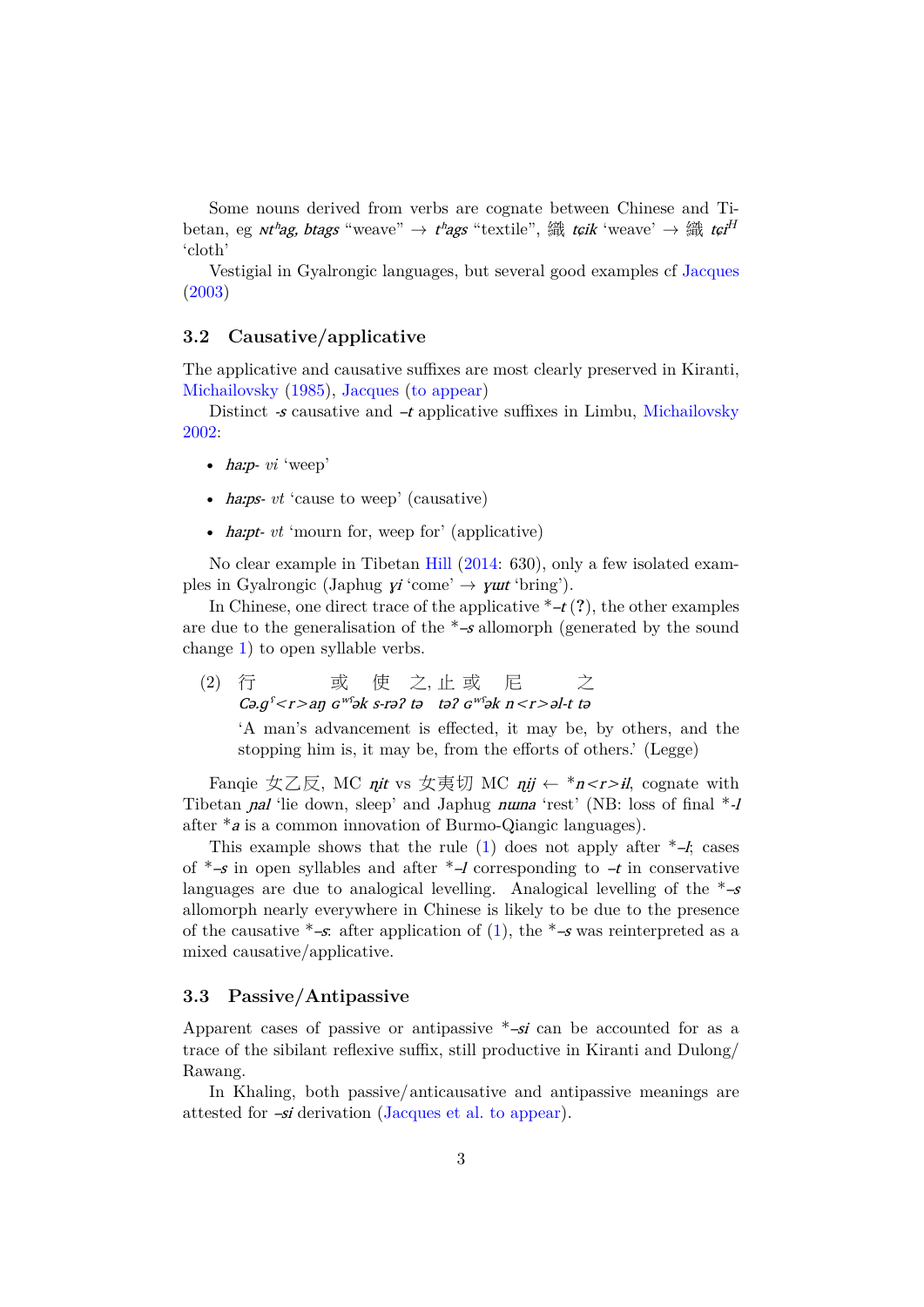Some nouns derived from verbs are cognate between Chinese and Tibetan, eg *ntʰag, btags* "weave" → *tʰags* "textile", 織 *t¢ik* 'weave' → 織 *t¢i<sup>H</sup>* 'cloth'

Vestigial in Gyalrongic languages, but several good examples cf Jacques (2003)

## **3.2 Causative/applicative**

[The a](#page-5-1)pplicative and causative suffixes are most clearly preserved in Kiranti, Michailovsky (1985), Jacques (to appear)

<span id="page-2-0"></span>Distinct  $\mathcal{S}$  causative and  $\mathcal{A}$  applicative suffixes in Limbu, Michailovsky 2002:

- [haːp-](#page-5-2) *vi* '[weep](#page-5-2)'
- [•](#page-5-3) *harps- vt* 'cause to weep' (causative)
- *ha:pt- vt* 'mourn for, weep for' (applicative)

No clear example in Tibetan Hill (2014: 630), only a few isolated examples in Gyalrongic (Japhug  $yi'$ come'  $\rightarrow$   $y$ *ut* 'bring').

In Chinese, one direct trace of the applicative  $*$ - $t$  (?), the other examples are due to the generalisation of the  $*$ -s [allo](#page-5-4)morph (generated by the sound change 1) to open syllable verbs.

(2) 行 Cə. $g^s$ < $r$ > $>$ aŋ 或  $G^{w\Omega}$ ə $k$ 使 s-rəʔ 之, tə 止 təʔ 或  $G^{w\Omega}$ ə $k$ 尼 n<r>əl-t 之 tə

['A](#page-1-0) man's advancement is effected, it may be, by others, and the stopping him is, it may be, from the efforts of others.' (Legge)

Fanqie 女乙反, MC *nit* vs 女夷切 MC *nij* ← \**n<r>il*, cognate with Tibetan *nal* 'lie down, sleep' and Japhug *numa* 'rest' (NB: loss of final  $*$ -*l* after \*<sup>a</sup> is a common innovation of Burmo-Qiangic languages).

This example shows that the rule  $(1)$  does not apply after  $*$ –*l*; cases of  $*$ –s in open syllables and after  $*$ –l corresponding to  $-t$  in conservative languages are due to analogical levelling. Analogical levelling of the  $*-s$ allomorph nearly everywhere in Chinese is likely to be due to the presence of the causative  $*$ –s: after application of [\(](#page-1-0)1), the  $*$ –s was reinterpreted as a mixed causative/applicative.

#### **3.3 Passive/Antipassive**

Apparent cases of passive or antipassive  $*$ –si can be accounted for as a trace of the sibilant reflexive suffix, still productive in Kiranti and Dulong/ Rawang.

In Khaling, both passive/anticausative and antipassive meanings are attested for –si derivation (Jacques et al. to appear).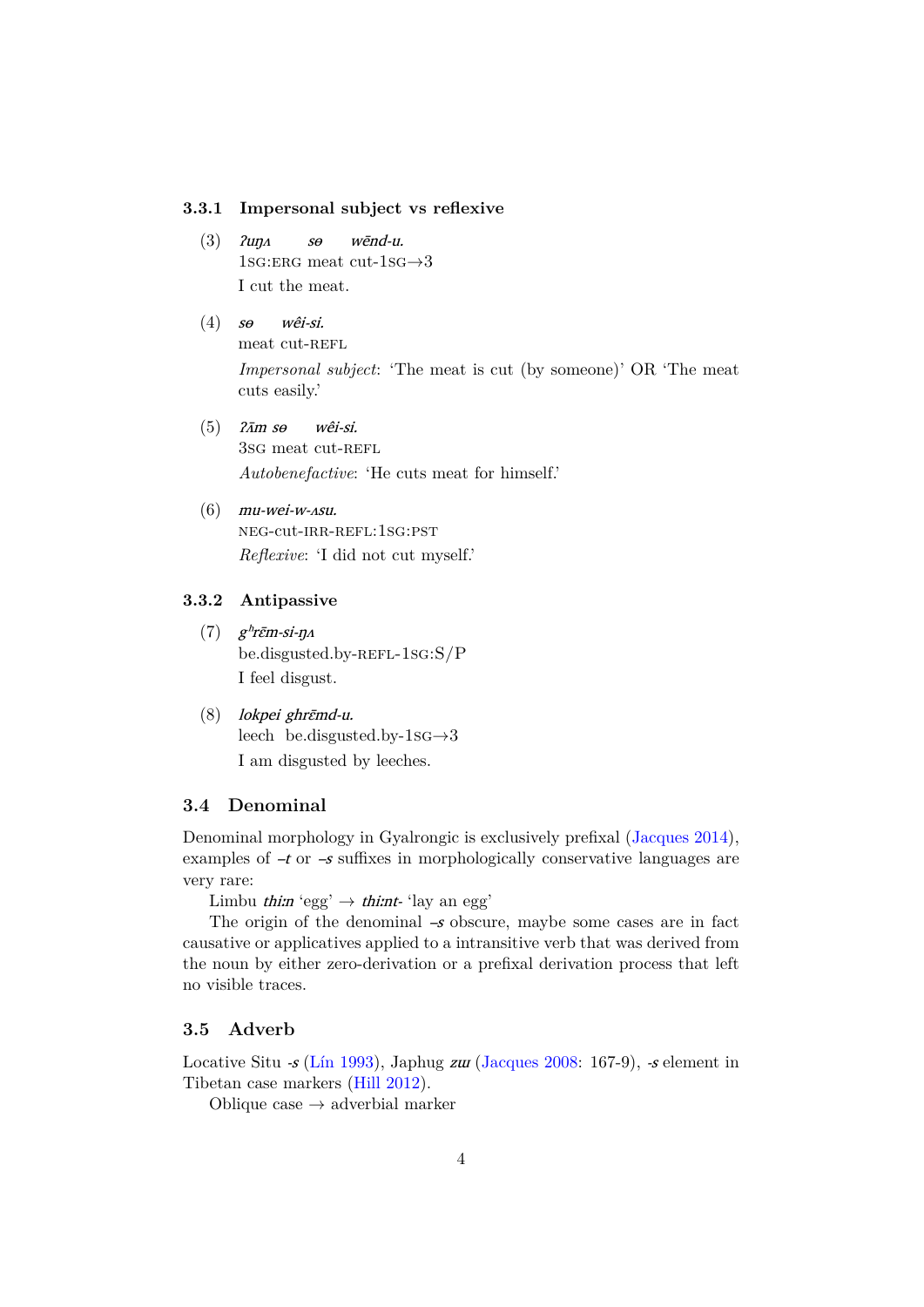#### **3.3.1 Impersonal subject vs reflexive**

- $(3)$   $2u\eta A$ 1sg:erg meat cut-1sg*→*3  $s\theta$ wēnd-u. I cut the meat.
- $(4)$  s $\theta$ meat cut-REFL wêi-si. *Impersonal subject*: 'The meat is cut (by someone)' OR 'The meat cuts easily.'
- $(5)$   $2\bar{A}m$  so 3sG meat cut-REFL wêi-si. *Autobenefactive*: 'He cuts meat for himself.'
- $(6)$  mu-wei-w- $\Delta su$ . neg-cut-irr-refl:1sg:pst *Reflexive*: 'I did not cut myself.'

#### **3.3.2 Antipassive**

- $(7)$  g<sup>h</sup>r $\bar{\epsilon}$ m-si-ŋ $\Lambda$ be.disgusted.by-REFL-1sG:S/P I feel disgust.
- (8) lokpei ghrɛ̄md-u. leech be.disgusted.by-1sg*→*3 I am disgusted by leeches.

### **3.4 Denominal**

Denominal morphology in Gyalrongic is exclusively prefixal (Jacques 2014), examples of  $-t$  or  $-s$  suffixes in morphologically conservative languages are very rare:

Limbu *thiːn* 'egg'  $\rightarrow$  *thiːnt*- 'lay an egg'

The origin of the denominal  $-s$  obscure, maybe some c[ases are in fac](#page-5-5)t causative or applicatives applied to a intransitive verb that was derived from the noun by either zero-derivation or a prefixal derivation process that left no visible traces.

### **3.5 Adverb**

Locative Situ -s (Lin 1993), Japhug zur (Jacques 2008: 167-9), -s element in Tibetan case markers (Hill 2012).

Oblique case *→* adverbial marker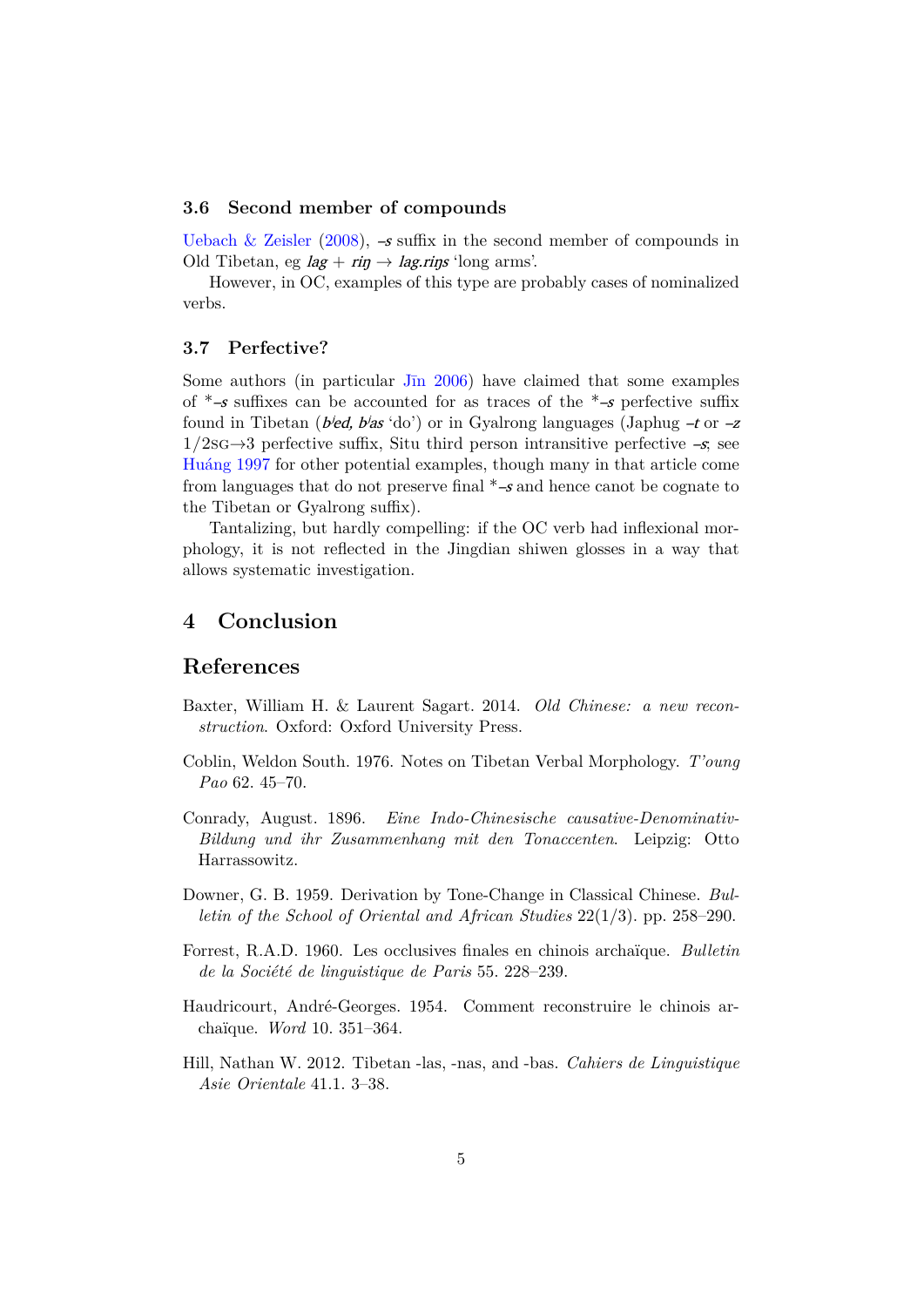#### **3.6 Second member of compounds**

Uebach & Zeisler (2008),  $-\mathcal{s}$  suffix in the second member of compounds in Old Tibetan, eg  $lag + rip \rightarrow lag.rips$  'long arms'.

However, in OC, examples of this type are probably cases of nominalized [verbs.](#page-5-6)

#### **3.7 Perfective?**

Some authors (in particular Jīn 2006) have claimed that some examples of  $*$ –s suffixes can be accounted for as traces of the  $*$ –s perfective suffix found in Tibetan (*bied, bias* 'do') or in Gyalrong languages (Japhug  $-t$  or  $-z$ 1/2sg*→*3 perfective suffix, Situ third person intransitive perfective –s; see Huáng 1997 for other potenti[al example](#page-5-7)s, though many in that article come from languages that do not preserve final  $*-s$  and hence canot be cognate to the Tibetan or Gyalrong suffix).

Tantalizing, but hardly compelling: if the OC verb had inflexional mor[phology, it](#page-5-8) is not reflected in the Jingdian shiwen glosses in a way that allows systematic investigation.

# **4 Conclusion**

# **References**

- Baxter, William H. & Laurent Sagart. 2014. *Old Chinese: a new reconstruction*. Oxford: Oxford University Press.
- Coblin, Weldon South. 1976. Notes on Tibetan Verbal Morphology. *T'oung Pao* 62. 45–70.
- <span id="page-4-2"></span>Conrady, August. 1896. *Eine Indo-Chinesische causative-Denominativ-Bildung und ihr Zusammenhang mit den Tonaccenten*. Leipzig: Otto Harrassowitz.
- <span id="page-4-3"></span>Downer, G. B. 1959. Derivation by Tone-Change in Classical Chinese. *Bulletin of the School of Oriental and African Studies* 22(1/3). pp. 258–290.
- <span id="page-4-0"></span>Forrest, R.A.D. 1960. Les occlusives finales en chinois archaïque. *Bulletin de la Société de linguistique de Paris* 55. 228–239.
- Haudricourt, André-Georges. 1954. Comment reconstruire le chinois archaïque. *Word* 10. 351–364.
- <span id="page-4-1"></span>Hill, Nathan W. 2012. Tibetan -las, -nas, and -bas. *Cahiers de Linguistique Asie Orientale* 41.1. 3–38.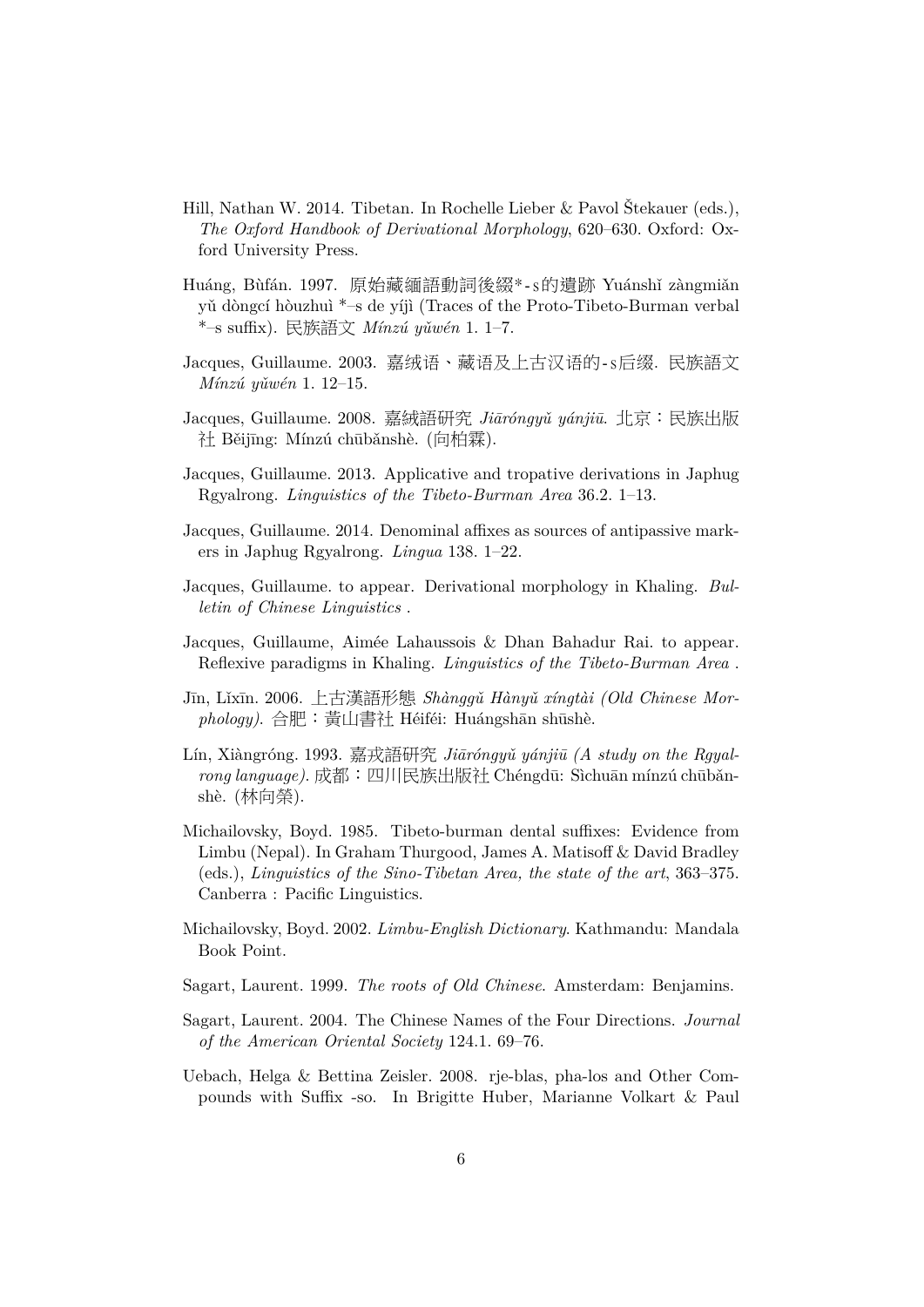- <span id="page-5-4"></span>Hill, Nathan W. 2014. Tibetan. In Rochelle Lieber & Pavol Štekauer (eds.), *The Oxford Handbook of Derivational Morphology*, 620–630. Oxford: Oxford University Press.
- <span id="page-5-8"></span>Huáng, Bùfán. 1997. 原始藏緬語動詞後綴\*-s的遺跡 Yuánshǐ zàngmiǎn yǔ dòngcí hòuzhuì \*–s de yíjì (Traces of the Proto-Tibeto-Burman verbal \*–s suffix). 民族語文 *Mínzú yǔwén* 1. 1–7.
- <span id="page-5-1"></span>Jacques, Guillaume. 2003. 嘉绒语、藏语及上古汉语的-s后缀. 民族語文 *Mínzú yǔwén* 1. 12–15.
- Jacques, Guillaume. 2008. 嘉絨語研究 *Jiāróngyǔ yánjiū*. 北京:民族出版 社 Běijīng: Mínzú chūbǎnshè. (向柏霖).
- <span id="page-5-0"></span>Jacques, Guillaume. 2013. Applicative and tropative derivations in Japhug Rgyalrong. *Linguistics of the Tibeto-Burman Area* 36.2. 1–13.
- <span id="page-5-5"></span>Jacques, Guillaume. 2014. Denominal affixes as sources of antipassive markers in Japhug Rgyalrong. *Lingua* 138. 1–22.
- Jacques, Guillaume. to appear. Derivational morphology in Khaling. *Bulletin of Chinese Linguistics* .
- Jacques, Guillaume, Aimée Lahaussois & Dhan Bahadur Rai. to appear. Reflexive paradigms in Khaling. *Linguistics of the Tibeto-Burman Area* .
- <span id="page-5-7"></span>Jīn, Lǐxīn. 2006. 上古漢語形態 *Shànggǔ Hànyǔ xíngtài (Old Chinese Morphology)*. 合肥:黃山書社 Héiféi: Huángshān shūshè.
- Lín, Xiàngróng. 1993. 嘉戎語研究 *Jiāróngyǔ yánjiū (A study on the Rgyalrong language)*. 成都:四川民族出版社 Chéngdū: Sìchuān mínzú chūbǎnshè. (林向榮).
- <span id="page-5-2"></span>Michailovsky, Boyd. 1985. Tibeto-burman dental suffixes: Evidence from Limbu (Nepal). In Graham Thurgood, James A. Matisoff & David Bradley (eds.), *Linguistics of the Sino-Tibetan Area, the state of the art*, 363–375. Canberra : Pacific Linguistics.
- <span id="page-5-3"></span>Michailovsky, Boyd. 2002. *Limbu-English Dictionary*. Kathmandu: Mandala Book Point.
- Sagart, Laurent. 1999. *The roots of Old Chinese*. Amsterdam: Benjamins.
- Sagart, Laurent. 2004. The Chinese Names of the Four Directions. *Journal of the American Oriental Society* 124.1. 69–76.
- <span id="page-5-6"></span>Uebach, Helga & Bettina Zeisler. 2008. rje-blas, pha-los and Other Compounds with Suffix -so. In Brigitte Huber, Marianne Volkart & Paul